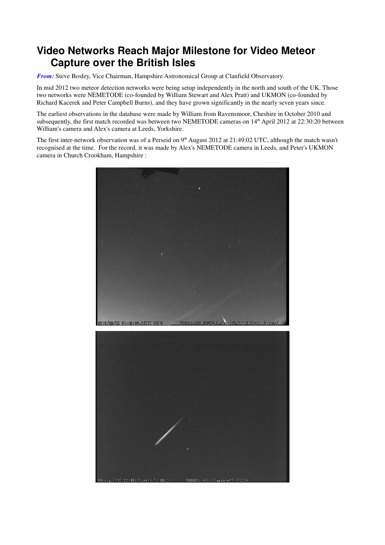## **Video Networks Reach Major Milestone for Video Meteor Capture over the British Isles**

*From:* Steve Bosley, Vice Chairman, Hampshire Astronomical Group at Clanfield Observatory.

In mid 2012 two meteor detection networks were being setup independently in the north and south of the UK. Those two networks were NEMETODE (co-founded by William Stewart and Alex Pratt) and UKMON (co-founded by Richard Kacerek and Peter Campbell Burns), and they have grown significantly in the nearly seven years since.

The earliest observations in the database were made by William from Ravensmoor, Cheshire in October 2010 and subsequently, the first match recorded was between two NEMETODE cameras on 14<sup>th</sup> April 2012 at 22:30:20 between William's camera and Alex's camera at Leeds, Yorkshire.

The first inter-network observation was of a Perseid on 9<sup>th</sup> August 2012 at 21:49:02 UTC, although the match wasn't recognised at the time. For the record, it was made by Alex's NEMETODE camera in Leeds, and Peter's UKMON camera in Church Crookham, Hampshire :

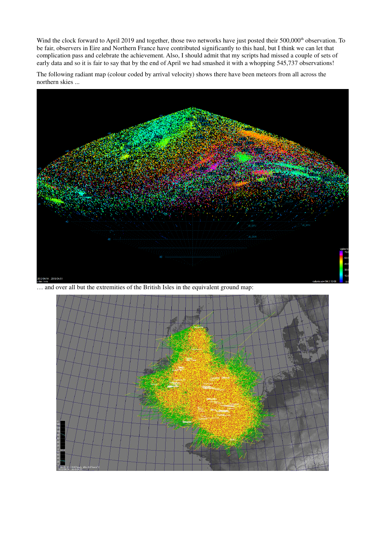Wind the clock forward to April 2019 and together, those two networks have just posted their 500,000<sup>th</sup> observation. To be fair, observers in Eire and Northern France have contributed significantly to this haul, but I think we can let that complication pass and celebrate the achievement. Also, I should admit that my scripts had missed a couple of sets of early data and so it is fair to say that by the end of April we had smashed it with a whopping 545,737 observations!

The following radiant map (colour coded by arrival velocity) shows there have been meteors from all across the northern skies ...



… and over all but the extremities of the British Isles in the equivalent ground map:

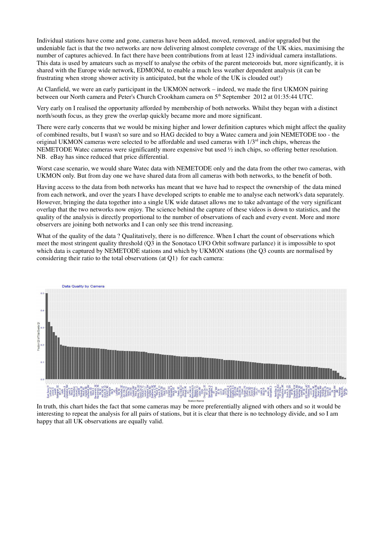Individual stations have come and gone, cameras have been added, moved, removed, and/or upgraded but the undeniable fact is that the two networks are now delivering almost complete coverage of the UK skies, maximising the number of captures achieved. In fact there have been contributions from at least 123 individual camera installations. This data is used by amateurs such as myself to analyse the orbits of the parent meteoroids but, more significantly, it is shared with the Europe wide network, EDMONd, to enable a much less weather dependent analysis (it can be frustrating when strong shower activity is anticipated, but the whole of the UK is clouded out!)

At Clanfield, we were an early participant in the UKMON network – indeed, we made the first UKMON pairing between our North camera and Peter's Church Crookham camera on 5<sup>th</sup> September 2012 at 01:35:44 UTC.

Very early on I realised the opportunity afforded by membership of both networks. Whilst they began with a distinct north/south focus, as they grew the overlap quickly became more and more significant.

There were early concerns that we would be mixing higher and lower definition captures which might affect the quality of combined results, but I wasn't so sure and so HAG decided to buy a Watec camera and join NEMETODE too - the original UKMON cameras were selected to be affordable and used cameras with  $1/3<sup>rd</sup>$  inch chips, whereas the NEMETODE Watec cameras were significantly more expensive but used ½ inch chips, so offering better resolution. NB. eBay has since reduced that price differential.

Worst case scenario, we would share Watec data with NEMETODE only and the data from the other two cameras, with UKMON only. But from day one we have shared data from all cameras with both networks, to the benefit of both.

Having access to the data from both networks has meant that we have had to respect the ownership of the data mined from each network, and over the years I have developed scripts to enable me to analyse each network's data separately. However, bringing the data together into a single UK wide dataset allows me to take advantage of the very significant overlap that the two networks now enjoy. The science behind the capture of these videos is down to statistics, and the quality of the analysis is directly proportional to the number of observations of each and every event. More and more observers are joining both networks and I can only see this trend increasing.

What of the quality of the data ? Qualitatively, there is no difference. When I chart the count of observations which meet the most stringent quality threshold (Q3 in the Sonotaco UFO Orbit software parlance) it is impossible to spot which data is captured by NEMETODE stations and which by UKMON stations (the Q3 counts are normalised by considering their ratio to the total observations (at Q1) for each camera:



In truth, this chart hides the fact that some cameras may be more preferentially aligned with others and so it would be interesting to repeat the analysis for all pairs of stations, but it is clear that there is no technology divide, and so I am happy that all UK observations are equally valid.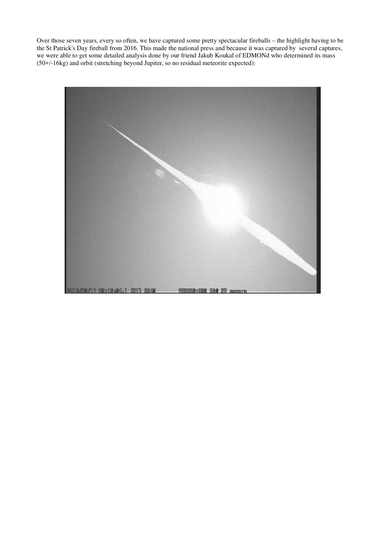Over those seven years, every so often, we have captured some pretty spectacular fireballs – the highlight having to be the St Patrick's Day fireball from 2016. This made the national press and because it was captured by several captures, we were able to get some detailed analysis done by our friend Jakub Koukal of EDMONd who determined its mass (50+/-16kg) and orbit (stretching beyond Jupiter, so no residual meteorite expected):